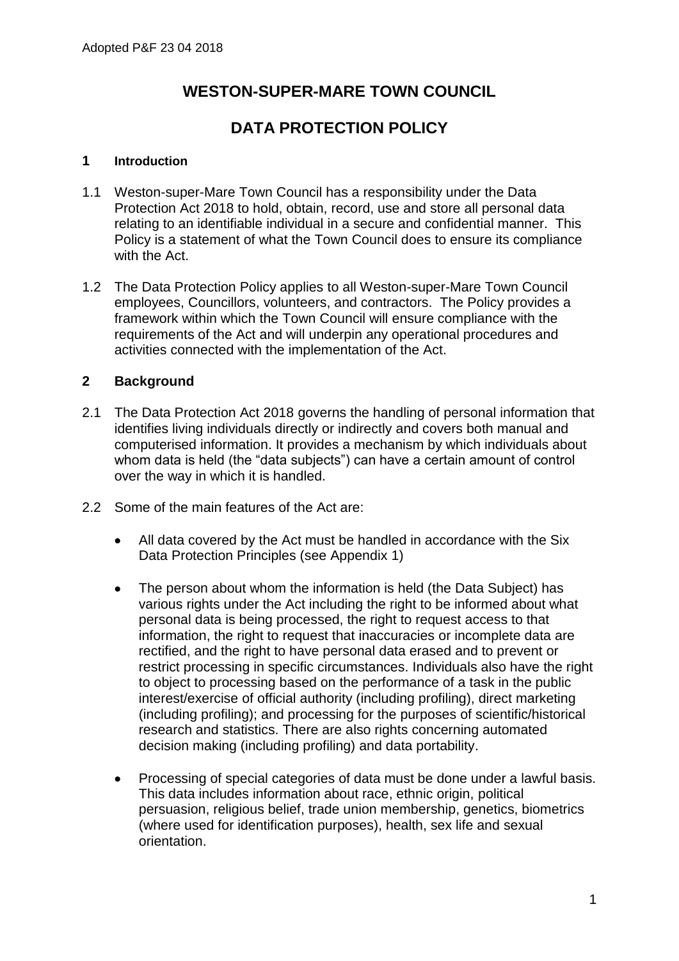# **WESTON-SUPER-MARE TOWN COUNCIL**

# **DATA PROTECTION POLICY**

#### **1 Introduction**

- 1.1 Weston-super-Mare Town Council has a responsibility under the Data Protection Act 2018 to hold, obtain, record, use and store all personal data relating to an identifiable individual in a secure and confidential manner. This Policy is a statement of what the Town Council does to ensure its compliance with the Act.
- 1.2 The Data Protection Policy applies to all Weston-super-Mare Town Council employees, Councillors, volunteers, and contractors. The Policy provides a framework within which the Town Council will ensure compliance with the requirements of the Act and will underpin any operational procedures and activities connected with the implementation of the Act.

### **2 Background**

- 2.1 The Data Protection Act 2018 governs the handling of personal information that identifies living individuals directly or indirectly and covers both manual and computerised information. It provides a mechanism by which individuals about whom data is held (the "data subjects") can have a certain amount of control over the way in which it is handled.
- 2.2 Some of the main features of the Act are:
	- All data covered by the Act must be handled in accordance with the Six Data Protection Principles (see Appendix 1)
	- The person about whom the information is held (the Data Subject) has various rights under the Act including the right to be informed about what personal data is being processed, the right to request access to that information, the right to request that inaccuracies or incomplete data are rectified, and the right to have personal data erased and to prevent or restrict processing in specific circumstances. Individuals also have the right to object to processing based on the performance of a task in the public interest/exercise of official authority (including profiling), direct marketing (including profiling); and processing for the purposes of scientific/historical research and statistics. There are also rights concerning automated decision making (including profiling) and data portability.
	- Processing of special categories of data must be done under a lawful basis. This data includes information about race, ethnic origin, political persuasion, religious belief, trade union membership, genetics, biometrics (where used for identification purposes), health, sex life and sexual orientation.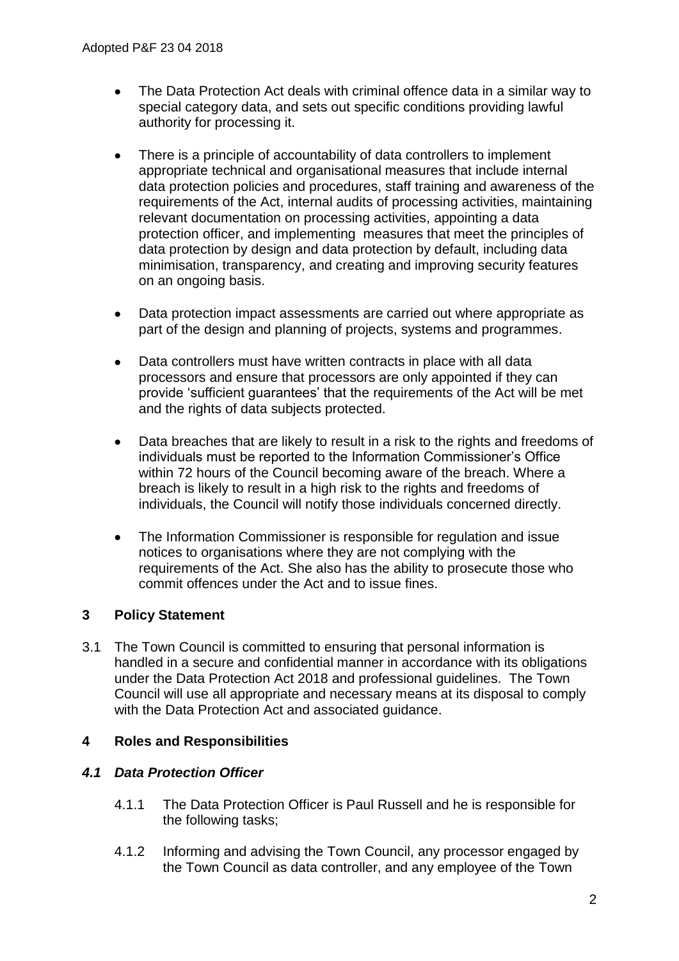- The Data Protection Act deals with criminal offence data in a similar way to special category data, and sets out specific conditions providing lawful authority for processing it.
- There is a principle of accountability of data controllers to implement appropriate technical and organisational measures that include internal data protection policies and procedures, staff training and awareness of the requirements of the Act, internal audits of processing activities, maintaining relevant documentation on processing activities, appointing a data protection officer, and implementing measures that meet the principles of data protection by design and data protection by default, including data minimisation, transparency, and creating and improving security features on an ongoing basis.
- Data protection impact assessments are carried out where appropriate as part of the design and planning of projects, systems and programmes.
- Data controllers must have written contracts in place with all data processors and ensure that processors are only appointed if they can provide 'sufficient guarantees' that the requirements of the Act will be met and the rights of data subjects protected.
- Data breaches that are likely to result in a risk to the rights and freedoms of individuals must be reported to the Information Commissioner's Office within 72 hours of the Council becoming aware of the breach. Where a breach is likely to result in a high risk to the rights and freedoms of individuals, the Council will notify those individuals concerned directly.
- The Information Commissioner is responsible for regulation and issue notices to organisations where they are not complying with the requirements of the Act. She also has the ability to prosecute those who commit offences under the Act and to issue fines.

# **3 Policy Statement**

3.1 The Town Council is committed to ensuring that personal information is handled in a secure and confidential manner in accordance with its obligations under the Data Protection Act 2018 and professional guidelines. The Town Council will use all appropriate and necessary means at its disposal to comply with the Data Protection Act and associated guidance.

# **4 Roles and Responsibilities**

# *4.1 Data Protection Officer*

- 4.1.1 The Data Protection Officer is Paul Russell and he is responsible for the following tasks;
- 4.1.2 Informing and advising the Town Council, any processor engaged by the Town Council as data controller, and any employee of the Town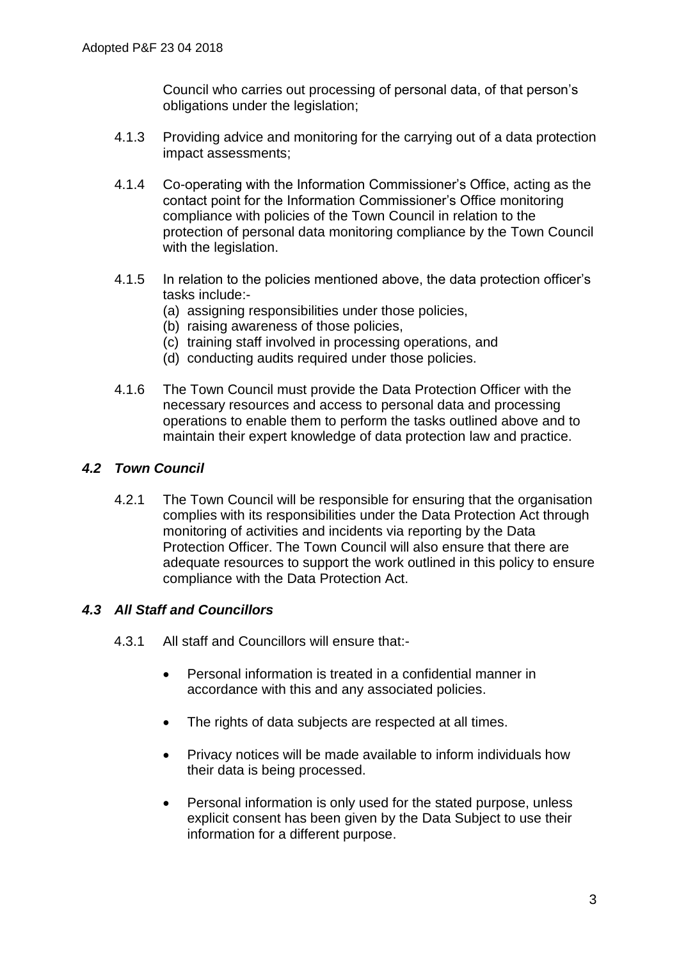Council who carries out processing of personal data, of that person's obligations under the legislation;

- 4.1.3 Providing advice and monitoring for the carrying out of a data protection impact assessments;
- 4.1.4 Co-operating with the Information Commissioner's Office, acting as the contact point for the Information Commissioner's Office monitoring compliance with policies of the Town Council in relation to the protection of personal data monitoring compliance by the Town Council with the legislation.
- 4.1.5 In relation to the policies mentioned above, the data protection officer's tasks include:-
	- (a) assigning responsibilities under those policies,
	- (b) raising awareness of those policies,
	- (c) training staff involved in processing operations, and
	- (d) conducting audits required under those policies.
- 4.1.6 The Town Council must provide the Data Protection Officer with the necessary resources and access to personal data and processing operations to enable them to perform the tasks outlined above and to maintain their expert knowledge of data protection law and practice.

# *4.2 Town Council*

4.2.1 The Town Council will be responsible for ensuring that the organisation complies with its responsibilities under the Data Protection Act through monitoring of activities and incidents via reporting by the Data Protection Officer. The Town Council will also ensure that there are adequate resources to support the work outlined in this policy to ensure compliance with the Data Protection Act.

# *4.3 All Staff and Councillors*

- 4.3.1 All staff and Councillors will ensure that:-
	- Personal information is treated in a confidential manner in accordance with this and any associated policies.
	- The rights of data subjects are respected at all times.
	- Privacy notices will be made available to inform individuals how their data is being processed.
	- Personal information is only used for the stated purpose, unless explicit consent has been given by the Data Subject to use their information for a different purpose.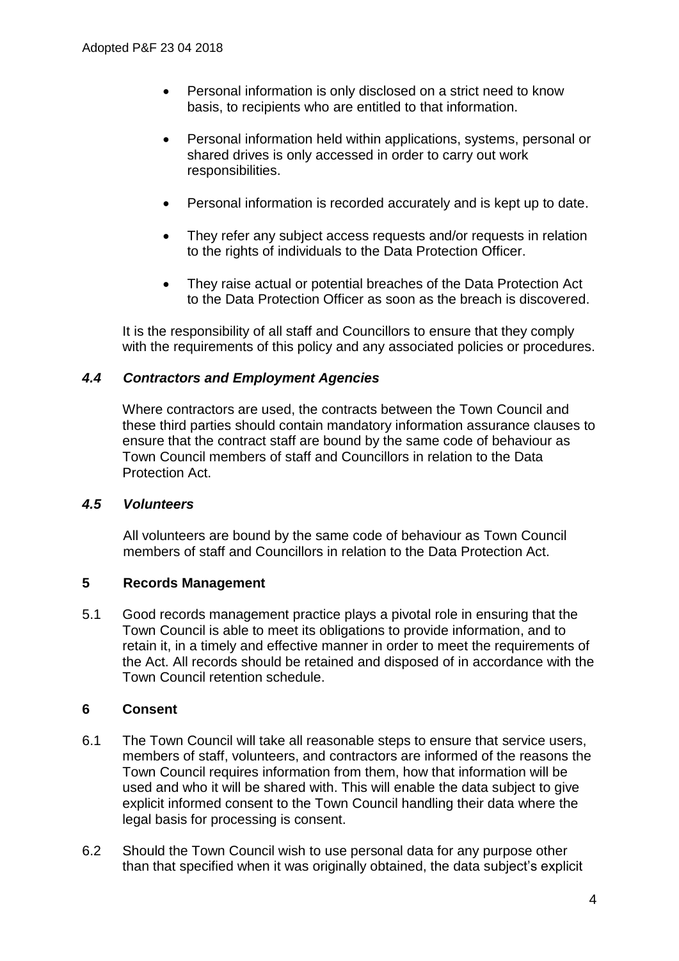- Personal information is only disclosed on a strict need to know basis, to recipients who are entitled to that information.
- Personal information held within applications, systems, personal or shared drives is only accessed in order to carry out work responsibilities.
- Personal information is recorded accurately and is kept up to date.
- They refer any subject access requests and/or requests in relation to the rights of individuals to the Data Protection Officer.
- They raise actual or potential breaches of the Data Protection Act to the Data Protection Officer as soon as the breach is discovered.

It is the responsibility of all staff and Councillors to ensure that they comply with the requirements of this policy and any associated policies or procedures.

### *4.4 Contractors and Employment Agencies*

Where contractors are used, the contracts between the Town Council and these third parties should contain mandatory information assurance clauses to ensure that the contract staff are bound by the same code of behaviour as Town Council members of staff and Councillors in relation to the Data Protection Act.

### *4.5 Volunteers*

All volunteers are bound by the same code of behaviour as Town Council members of staff and Councillors in relation to the Data Protection Act.

### **5 Records Management**

5.1 Good records management practice plays a pivotal role in ensuring that the Town Council is able to meet its obligations to provide information, and to retain it, in a timely and effective manner in order to meet the requirements of the Act. All records should be retained and disposed of in accordance with the Town Council retention schedule.

### **6 Consent**

- 6.1 The Town Council will take all reasonable steps to ensure that service users, members of staff, volunteers, and contractors are informed of the reasons the Town Council requires information from them, how that information will be used and who it will be shared with. This will enable the data subject to give explicit informed consent to the Town Council handling their data where the legal basis for processing is consent.
- 6.2 Should the Town Council wish to use personal data for any purpose other than that specified when it was originally obtained, the data subject's explicit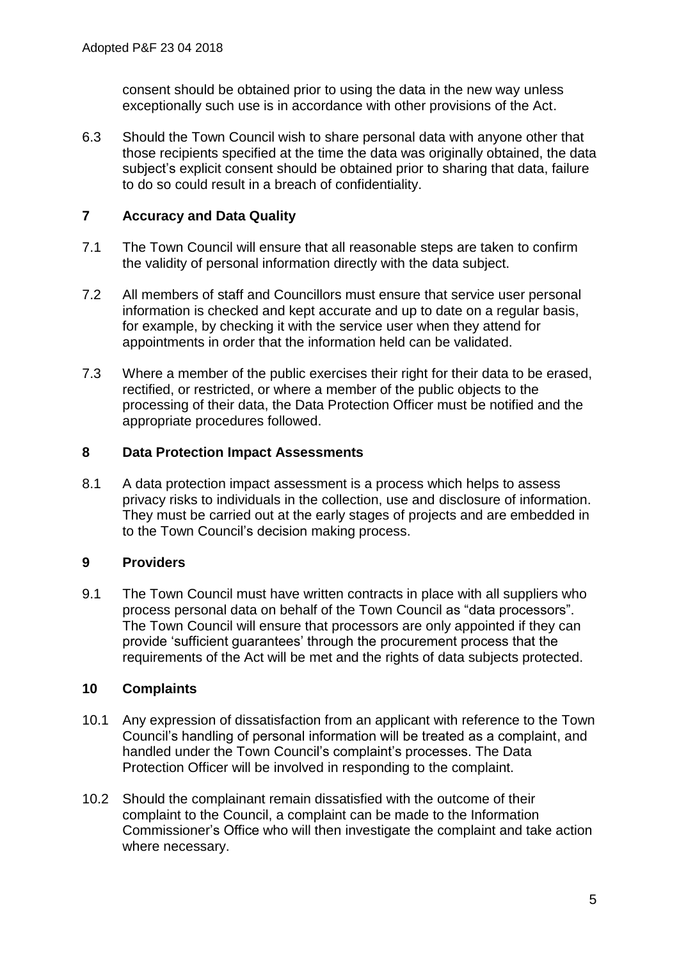consent should be obtained prior to using the data in the new way unless exceptionally such use is in accordance with other provisions of the Act.

6.3 Should the Town Council wish to share personal data with anyone other that those recipients specified at the time the data was originally obtained, the data subject's explicit consent should be obtained prior to sharing that data, failure to do so could result in a breach of confidentiality.

# **7 Accuracy and Data Quality**

- 7.1 The Town Council will ensure that all reasonable steps are taken to confirm the validity of personal information directly with the data subject.
- 7.2 All members of staff and Councillors must ensure that service user personal information is checked and kept accurate and up to date on a regular basis, for example, by checking it with the service user when they attend for appointments in order that the information held can be validated.
- 7.3 Where a member of the public exercises their right for their data to be erased, rectified, or restricted, or where a member of the public objects to the processing of their data, the Data Protection Officer must be notified and the appropriate procedures followed.

# **8 Data Protection Impact Assessments**

8.1 A data protection impact assessment is a process which helps to assess privacy risks to individuals in the collection, use and disclosure of information. They must be carried out at the early stages of projects and are embedded in to the Town Council's decision making process.

# **9 Providers**

9.1 The Town Council must have written contracts in place with all suppliers who process personal data on behalf of the Town Council as "data processors". The Town Council will ensure that processors are only appointed if they can provide 'sufficient guarantees' through the procurement process that the requirements of the Act will be met and the rights of data subjects protected.

# **10 Complaints**

- 10.1 Any expression of dissatisfaction from an applicant with reference to the Town Council's handling of personal information will be treated as a complaint, and handled under the Town Council's complaint's processes. The Data Protection Officer will be involved in responding to the complaint.
- 10.2 Should the complainant remain dissatisfied with the outcome of their complaint to the Council, a complaint can be made to the Information Commissioner's Office who will then investigate the complaint and take action where necessary.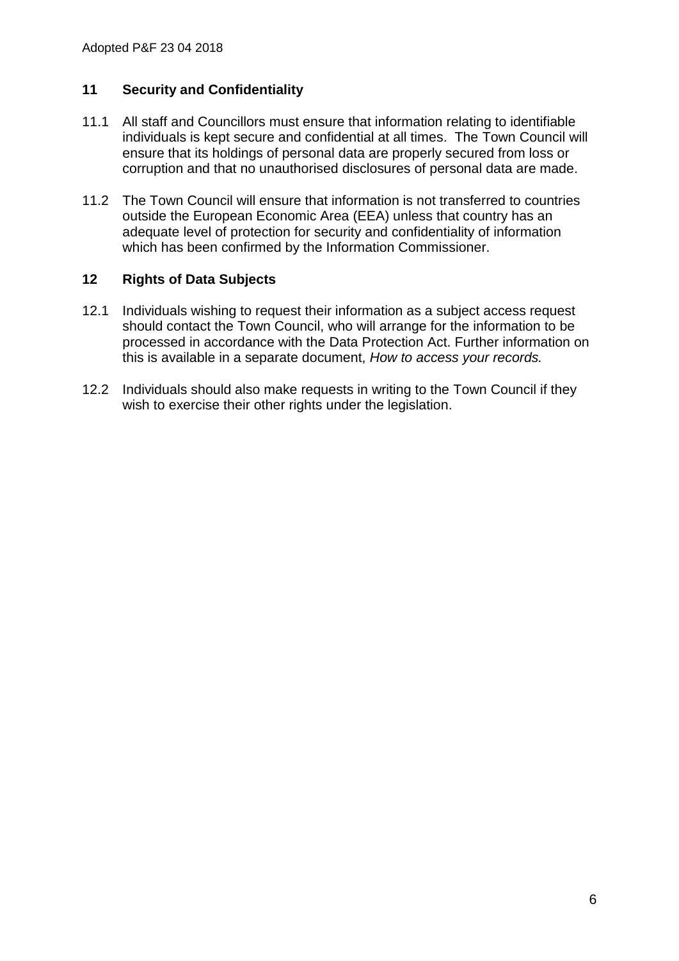### **11 Security and Confidentiality**

- 11.1 All staff and Councillors must ensure that information relating to identifiable individuals is kept secure and confidential at all times. The Town Council will ensure that its holdings of personal data are properly secured from loss or corruption and that no unauthorised disclosures of personal data are made.
- 11.2 The Town Council will ensure that information is not transferred to countries outside the European Economic Area (EEA) unless that country has an adequate level of protection for security and confidentiality of information which has been confirmed by the Information Commissioner.

### **12 Rights of Data Subjects**

- 12.1 Individuals wishing to request their information as a subject access request should contact the Town Council, who will arrange for the information to be processed in accordance with the Data Protection Act. Further information on this is available in a separate document, *How to access your records.*
- 12.2 Individuals should also make requests in writing to the Town Council if they wish to exercise their other rights under the legislation.